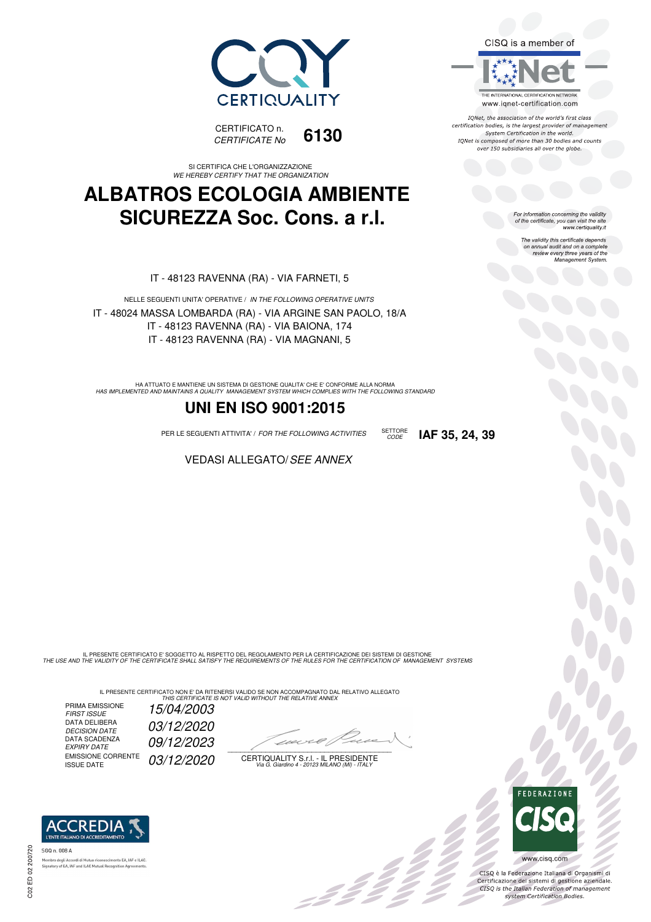



SI CERTIFICA CHE L'ORGANIZZAZIONE WE HEREBY CERTIFY THAT THE ORGANIZATION

# **ALBATROS ECOLOGIA AMBIENTE SICUREZZA Soc. Cons. a r.l.**

IT - 48123 RAVENNA (RA) - VIA FARNETI, 5

NELLE SEGUENTI UNITA' OPERATIVE / IN THE FOLLOWING OPERATIVE UNITS IT - 48024 MASSA LOMBARDA (RA) - VIA ARGINE SAN PAOLO, 18/A IT - 48123 RAVENNA (RA) - VIA BAIONA, 174 IT - 48123 RAVENNA (RA) - VIA MAGNANI, 5

HA ATTUATO E MANTIENE UN SISTEMA DI GESTIONE QUALITA' CHE E' CONFORME ALLA NORMA<br>HAS IMPLEMENTED AND MAINTAINS A QUALITY MANAGEMENT SYSTEM WHICH COMPLIES WITH THE FOLLOWING STANDARD

## **UNI EN ISO 9001:2015**

PER LE SEGUENTI ATTIVITA' / FOR THE FOLLOWING ACTIVITIES SETTORE

**VEDASI ALLEGATO/SEE ANNEX** 

IL PRESENTE CERTIFICATO E' SOGGETTO AL RISPETTO DEL REGOLAMENTO PER LA CERTIFICAZIONE DEI SISTEMI DI GESTIONE<br>THE USE AND THE VALIDITY OF THE CERTIFICATE SHALL SATISFY THE REQUIREMENTS OF THE RULES FOR THE CERTIFICATION OF

IL PRESENTE CERTIFICATO NON E' DA RITENERSI VALIDO SE NON ACCOMPAGNATO DAL RELATIVO ALLEGATO<br>*THIS CERTIFICATE IS NOT VALID WITHOUT THE RELATIVE ANNEX* 

PRIMA EMISSIONE<br>FIRST ISSUE DATA DELIBERA DECISION DATE<br>DATA SCADENZA<br>EXPIRY DATE EMISSIONE CORRENTE<br>ISSUE DATE

15/04/2003 03/12/2020 09/12/2023 03/12/2020

 $\overline{\phantom{a}}$ 

:42 p

CERTIQUALITY S.r.l. - IL PRESIDENTE Via G. Giardino 4 - 20123 MILANO (MI) - ITALY



IONet, the association of the world's first class certification bodies, is the largest provider of management System Certification in the world. IQNet is composed of more than 30 bodies and counts over 150 subsidiaries all over the globe.

CODE **IAF 35, 24, 39**

For information concerning the validity<br>of the certificate, you can visit the site<br>www.certiquality.it

The validity this certificate depends on annual audit and on a complete review every three years of the Management System



b<br>D<br>D

CISQ è la Federazione Italiana di Organismi di Certificazione dei sistemi di gestione aziendale.<br>CISQ is the Italian Federation of management system Certification Bodies.



tory of EA, IAF and ILAC Mutual Recognit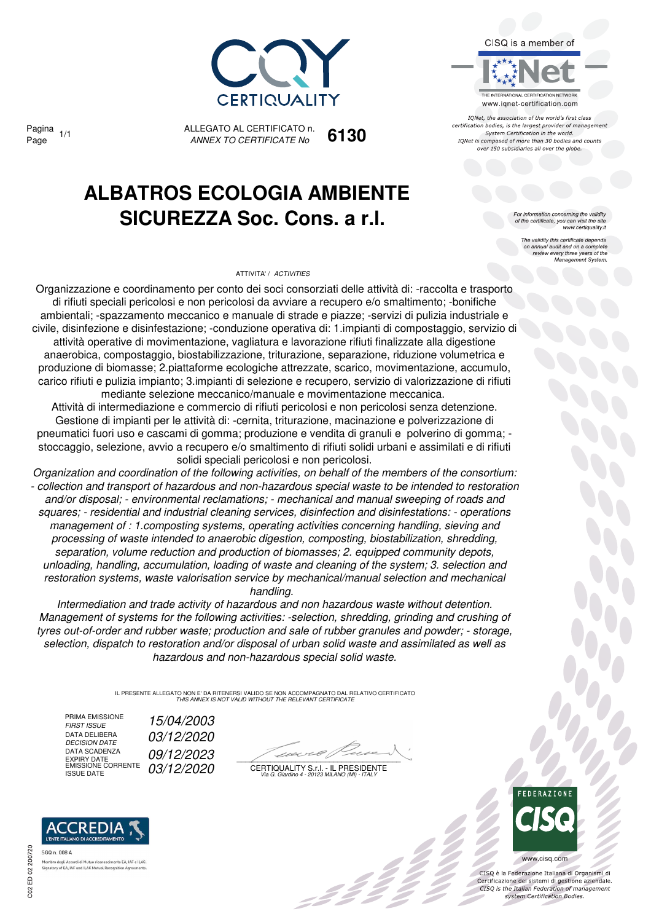

Pagina

ALLEGATO AL CERTIFICATO n. *ANNEX TO CERTIFICATE No* Page 1/1 **6130**

# **ALBATROS ECOLOGIA AMBIENTE SICUREZZA Soc. Cons. a r.l.**

### ATTIVITA' / *ACTIVITIES*



IONet, the association of the world's first class certification bodies, is the largest provider of management System Certification in the world. IQNet is composed of more than 30 bodies and counts over 150 subsidiaries all over the globe.

For information concerning the validity<br>of the certificate, you can visit the site<br>www.certiquality.it

The validity this certificate depends on annual audit and on a complete review every three years of the Management System.

Organizzazione e coordinamento per conto dei soci consorziati delle attività di: -raccolta e trasporto di rifiuti speciali pericolosi e non pericolosi da avviare a recupero e/o smaltimento; -bonifiche ambientali; -spazzamento meccanico e manuale di strade e piazze; -servizi di pulizia industriale e civile, disinfezione e disinfestazione; -conduzione operativa di: 1.impianti di compostaggio, servizio di attività operative di movimentazione, vagliatura e lavorazione rifiuti finalizzate alla digestione anaerobica, compostaggio, biostabilizzazione, triturazione, separazione, riduzione volumetrica e produzione di biomasse; 2.piattaforme ecologiche attrezzate, scarico, movimentazione, accumulo, carico rifiuti e pulizia impianto; 3.impianti di selezione e recupero, servizio di valorizzazione di rifiuti mediante selezione meccanico/manuale e movimentazione meccanica.

Attività di intermediazione e commercio di rifiuti pericolosi e non pericolosi senza detenzione. Gestione di impianti per le attività di: -cernita, triturazione, macinazione e polverizzazione di pneumatici fuori uso e cascami di gomma; produzione e vendita di granuli e polverino di gomma; stoccaggio, selezione, avvio a recupero e/o smaltimento di rifiuti solidi urbani e assimilati e di rifiuti solidi speciali pericolosi e non pericolosi.

*Organization and coordination of the following activities, on behalf of the members of the consortium: - collection and transport of hazardous and non-hazardous special waste to be intended to restoration and/or disposal; - environmental reclamations; - mechanical and manual sweeping of roads and squares; - residential and industrial cleaning services, disinfection and disinfestations: - operations management of : 1.composting systems, operating activities concerning handling, sieving and processing of waste intended to anaerobic digestion, composting, biostabilization, shredding, separation, volume reduction and production of biomasses; 2. equipped community depots, unloading, handling, accumulation, loading of waste and cleaning of the system; 3. selection and restoration systems, waste valorisation service by mechanical/manual selection and mechanical handling.* 

*Intermediation and trade activity of hazardous and non hazardous waste without detention. Management of systems for the following activities: -selection, shredding, grinding and crushing of tyres out-of-order and rubber waste; production and sale of rubber granules and powder; - storage, selection, dispatch to restoration and/or disposal of urban solid waste and assimilated as well as hazardous and non-hazardous special solid waste.*

> IL PRESENTE ALLEGATO NON E' DA RITENERSI VALIDO SE NON ACCOMPAGNATO DAL RELATIVO CERTIFICATO *THIS ANNEX IS NOT VALID WITHOUT THE RELEVANT CERTIFICATE*

PRIMA EMISSIONE<br>FIRST ISSUE DATA DELIBERA<br>DECISION DATE DATA SCADENZA DATA SCADENZA **DATA SCADENZA**<br>EXPIRY DATE<br>EMISSIONE CORRENTE 03/12/2020

*FIRST ISSUE 15/04/2003 DECISION DATE 03/12/2020*

22

CERTIQUALITY S.r.l. - IL PRESIDENTE EMISSIONE CORRENTE ISSUE DATE *03/12/2020 Via G. Giardino 4 - 20123 MILANO (MI) - ITALY*



CISQ è la Federazione Italiana di Organismi di Certificazione dei sistemi di gestione aziendale.<br>CISQ is the Italian Federation of management system Certification Bodies



ento FA JAF e ILAC Signatory of EA, IAF and ILAC Mutual Recognition Age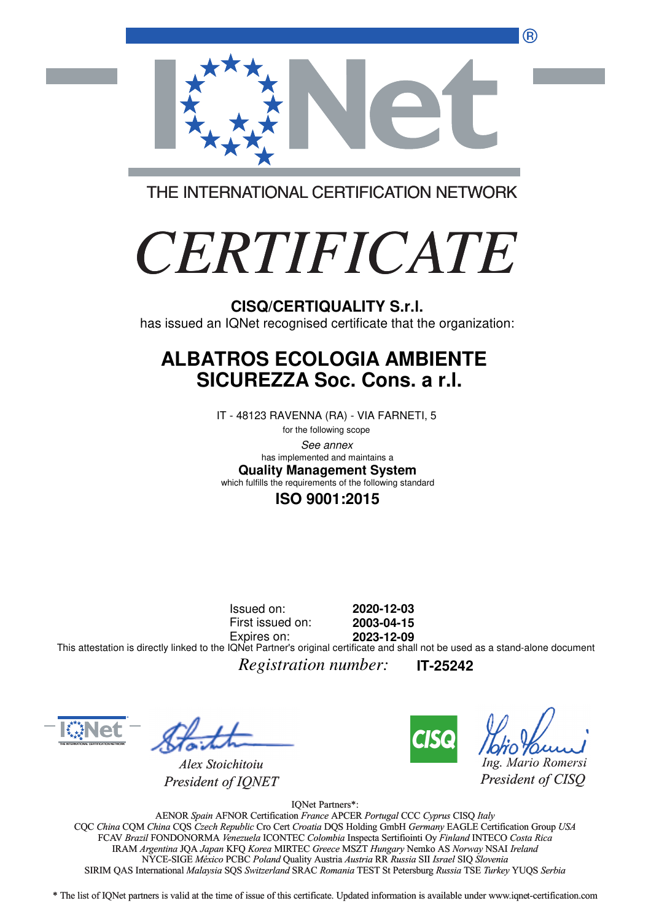®



THE INTERNATIONAL CERTIFICATION NETWORK

# *CERTIFICATE*

has issued an IQNet recognised certificate that the organization:

# **ALBATROS ECOLOGIA AMBIENTE SICUREZZA Soc. Cons. a r.l.**

IT - 48123 RAVENNA (RA) - VIA FARNETI, 5

for the following scope See annex **Quality Management System** has implemented and maintains a which fulfills the requirements of the following standard

**ISO 9001:2015**

Issued on: First issued on: Expires on: **2020-12-03 2003-04-15 2023-12-09** This attestation is directly linked to the IQNet Partner's original certificate and shall not be used as a stand-alone document

*Registration number:* **IT-25242**



*Alex Stoichitoiu President of IQNET*



*Ing. Mario Romersi*

*President of CISQ* 

IQNet Partners\*:

AENOR *Spain* AFNOR Certification *France* APCER *Portugal* CCC *Cyprus* CISQ *Italy* CQC *China* CQM *China* CQS *Czech Republic* Cro Cert *Croatia* DQS Holding GmbH *Germany* EAGLE Certification Group *USA* Cro Cert FCAV *Brazil* FONDONORMA *Venezuela* ICONTEC *Colombia* Inspecta Sertifiointi Oy *Finland* INTECO *Costa Rica* IRAM *Argentina* JQA *Japan* KFQ *Korea* MIRTEC *Greece* MSZT *Hungary* Nemko AS *Norway* NSAI *Ireland* NYCE-SIGE *México* PCBC *Poland* Quality Austria *Austria* RR *Russia* SII *Israel* SIQ *Slovenia* RR SIRIM QAS International *Malaysia* SQS *Switzerland* SRAC *Romania* TEST St Petersburg *Russia* TSE *Turkey* YUQS *Serbia* CISQ/CERTIQUALITY S.r.I.<br>
has issued an IQNet recognised certificate that the organizz<br> **ALBATROS ECOLOGIA AMBIENTE**<br>
SICUREZZA Soc. Cons. a r.I.<br>
IT -48123 RAVENNA (RA) - VIA FARNETI, 5<br>
lower memberim and an interaction

\* The list of IQNet partners is valid at the time of issue of this certificate. Updated information is available under www.iqnet-certification.com